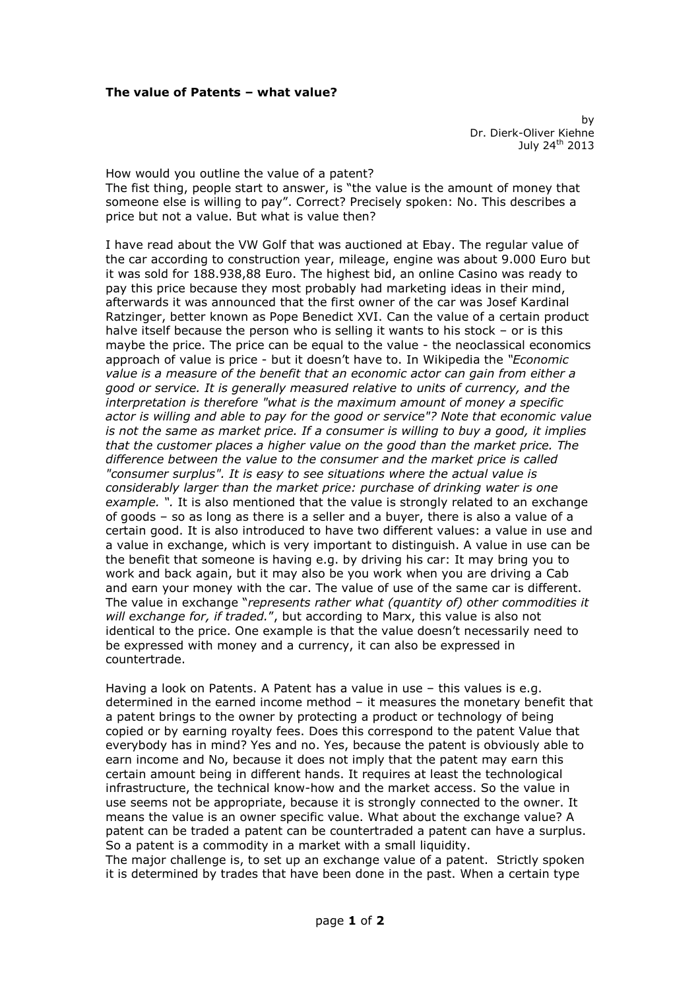by Dr. Dierk-Oliver Kiehne July 24<sup>th</sup> 2013

How would you outline the value of a patent? The fist thing, people start to answer, is "the value is the amount of money that someone else is willing to pay". Correct? Precisely spoken: No. This describes a price but not a value. But what is value then?

I have read about the VW Golf that was auctioned at Ebay. The regular value of the car according to construction year, mileage, engine was about 9.000 Euro but it was sold for 188.938,88 Euro. The highest bid, an online Casino was ready to pay this price because they most probably had marketing ideas in their mind, afterwards it was announced that the first owner of the car was Josef Kardinal Ratzinger, better known as Pope Benedict XVI. Can the value of a certain product halve itself because the person who is selling it wants to his stock - or is this maybe the price. The price can be equal to the value - the neoclassical economics approach of value is price - but it doesn't have to. In Wikipedia the *"Economic value is a measure of the benefit that an economic actor can gain from either a good or service. It is generally measured relative to units of currency, and the interpretation is therefore "what is the maximum amount of money a specific actor is willing and able to pay for the good or service"? Note that economic value is not the same as market price. If a consumer is willing to buy a good, it implies that the customer places a higher value on the good than the market price. The difference between the value to the consumer and the market price is called "consumer surplus". It is easy to see situations where the actual value is considerably larger than the market price: purchase of drinking water is one example. ".* It is also mentioned that the value is strongly related to an exchange of goods – so as long as there is a seller and a buyer, there is also a value of a certain good. It is also introduced to have two different values: a value in use and a value in exchange, which is very important to distinguish. A value in use can be the benefit that someone is having e.g. by driving his car: It may bring you to work and back again, but it may also be you work when you are driving a Cab and earn your money with the car. The value of use of the same car is different. The value in exchange "*represents rather what (quantity of) other commodities it will exchange for, if traded.*", but according to Marx, this value is also not identical to the price. One example is that the value doesn't necessarily need to be expressed with money and a currency, it can also be expressed in countertrade.

Having a look on Patents. A Patent has a value in use – this values is e.g. determined in the earned income method – it measures the monetary benefit that a patent brings to the owner by protecting a product or technology of being copied or by earning royalty fees. Does this correspond to the patent Value that everybody has in mind? Yes and no. Yes, because the patent is obviously able to earn income and No, because it does not imply that the patent may earn this certain amount being in different hands. It requires at least the technological infrastructure, the technical know-how and the market access. So the value in use seems not be appropriate, because it is strongly connected to the owner. It means the value is an owner specific value. What about the exchange value? A patent can be traded a patent can be countertraded a patent can have a surplus. So a patent is a commodity in a market with a small liquidity.

The major challenge is, to set up an exchange value of a patent. Strictly spoken it is determined by trades that have been done in the past. When a certain type